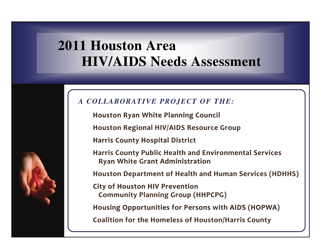# **2011 Houston Area 2011 Houston Area 2011 Area HIV/AIDS Needs Assessment**



**Houston Houston HoustonRyan White Planning Planning Council Council Council**

**Houston Houston Houston Regional RegionalRegional HIV/AIDS HIV/AIDS Resource Resource Group**

**Harris County Hospital HospitalHospital District District**

**Harris County Public Health and Environmental EnvironmentalServices Services Ryan White Grant Administration Administration**

**Houston Houston Department DepartmentDepartmentof Health and Human Services Services(HDHHS) (HDHHS)(HDHHS)**

**City of Houston HIV Prevention Community Planning PlanningGroup (HHPCPG) (HHPCPG) (HHPCPG)**

**Housing Housing Opportunities Opportunities for Persons Persons Persons with AIDS (HOPWA) (HOPWA)**

**Coalition Coalition for the Homeless Homeless Homeless of Houston/Harris Houston/Harris County**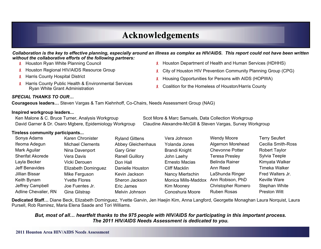# **Acknowledgements Acknowledgements**

*Collaboration is the key to effective planning, especially around an illness as complex as HIV/AIDS. This report could not have been written without the collaborative efforts of the following partners:* 

- **8** Houston Ryan White Planning Council
- **8** Houston Regional HIV/AIDS Resource Group
- **8** Harris County Hospital District
- **8** Harris County Public Health & Environmental Services Ryan White Grant Administration
- **R** Houston Department of Health and Human Services (HDHHS)
- **R** City of Houston HIV Prevention Community Planning Group (CPG)
- 8 Housing Opportunities for Persons with AIDS (HOPWA)
- Coalition for the Homeless of Houston/Harris County

#### *SPECIAL THANKS TO OUR…*

**Courageous leaders…** Steven Vargas & Tam Kiehnhoff, Co-Chairs, Needs Assessment Group (NAG)

#### **Inspired workgroup leaders...**

Ken Malone & C. Bruce Turner, Analysis Workgroup Scot More & Marc Samuels, Data Collection Workgroup David Garner & Dr. Osaro Mgbere, Epidemiology Workgroup Claudine Alexandre-McGill & Steven Vargas, Survey Workgroup

#### **Tireless community participants...**

| Sonya Adams             | Karen Chronister        | <b>Ryland Gittens</b>  | Vera Johnson          | <b>Wendy Moore</b>        | <b>Terry Seufert</b>      |
|-------------------------|-------------------------|------------------------|-----------------------|---------------------------|---------------------------|
| Ifeoma Adegun           | <b>Michael Clements</b> | Abbey Gleichenhaus     | Yolanda Jones         | <b>Algernon Morehead</b>  | <b>Cecilia Smith-Ross</b> |
| Mark Aguilar            | Nina Davenport          | <b>Gary Grier</b>      | <b>Brandi Knight</b>  | <b>Chevonne Potter</b>    | <b>Robert Taylor</b>      |
| <b>Sherifat Akorede</b> | Vera Davis              | <b>Ranell Guillory</b> | John Laehy            | <b>Teresa Presley</b>     | Sylvia Teeple             |
| Layla Becker            | Vicki Derouen           | Don Hall               | <b>Ernesto Macias</b> | <b>Belinda Rainer</b>     | Kimyata Walker            |
| Jeff Benavides          | Elizabeth Dominguez     | Danielle Houston       | Cliff Macklin         | Ann Reed                  | <b>Timeka Walker</b>      |
| Jillian Bissar          | Mike Ferguson           | Kevin Jackson          | Nancy Miertschin      | LaShunda Ringer           | Fred Walters Jr.          |
| Keith Bynam             | <b>Yvette Flores</b>    | Sheron Jackson         | Monica Mills-Maddox   | Ann Robison, PhD          | Keville Ware              |
| Jeffrey Campbell        | Joe Fuentes Jr.         | Eric James             | Kim Mooney            | <b>Christopher Romero</b> | Stephan White             |
| Adline Chevalier, RN    | Gina Gilstrap           | Melvin Johnson         | Conoshura Moore       | Ruben Rosas               | <b>Preston Witt</b>       |

**Dedicated Staff…** Diane Beck, Elizabeth Dominguez, Yvette Garvin, Jen Haejin Kim, Anna Langford, Georgette Monaghan Laura Norquist, Laura Pursell, Rob Ramirez, Maria Elena Saade and Tori Williams.

#### *But, most of all… heartfelt thanks to the 975 people with HIV/AIDS for participating in this important process. The 2011 HIV/AIDS Needs Assessment is dedicated to you.*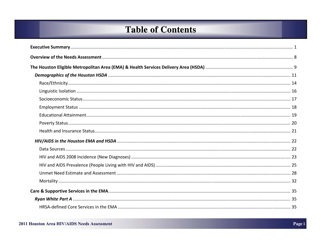# **Table of Contents**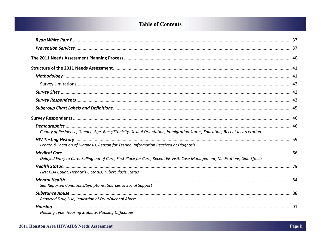# **Table of Contents**

| County of Residence, Gender, Age, Race/Ethnicity, Sexual Orientation, Immigration Status, Education, Recent Incarceration     |  |
|-------------------------------------------------------------------------------------------------------------------------------|--|
| Length & Location of Diagnosis, Reason for Testing, Information Received at Diagnosis                                         |  |
| Delayed Entry to Care, Falling out of Care, First Place for Care, Recent ER Visit, Case Management, Medications, Side Effects |  |
| First CD4 Count, Hepatitis C Status, Tuberculosis Status                                                                      |  |
| Self Reported Conditions/Symptoms, Sources of Social Support                                                                  |  |
| Reported Drug Use, Indication of Drug/Alcohol Abuse                                                                           |  |
| Housing Type, Housing Stability, Housing Difficulties                                                                         |  |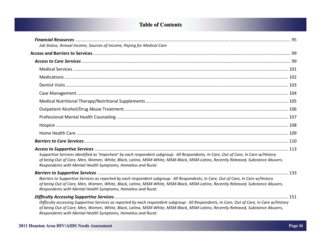# **Table of Contents Table of Contents**

| Job Status, Annual Income, Sources of Income, Paying for Medical Care                                                                                                                                                                                                                                                                         |  |
|-----------------------------------------------------------------------------------------------------------------------------------------------------------------------------------------------------------------------------------------------------------------------------------------------------------------------------------------------|--|
|                                                                                                                                                                                                                                                                                                                                               |  |
|                                                                                                                                                                                                                                                                                                                                               |  |
|                                                                                                                                                                                                                                                                                                                                               |  |
|                                                                                                                                                                                                                                                                                                                                               |  |
|                                                                                                                                                                                                                                                                                                                                               |  |
|                                                                                                                                                                                                                                                                                                                                               |  |
|                                                                                                                                                                                                                                                                                                                                               |  |
|                                                                                                                                                                                                                                                                                                                                               |  |
|                                                                                                                                                                                                                                                                                                                                               |  |
|                                                                                                                                                                                                                                                                                                                                               |  |
|                                                                                                                                                                                                                                                                                                                                               |  |
|                                                                                                                                                                                                                                                                                                                                               |  |
| Supportive Services identified as 'Important' by each respondent subgroup: All Respondents, In Care, Out of Care, In Care w/History<br>of being Out of Care, Men, Women, White, Black, Latino, MSM-White, MSM-Black, MSM-Latino, Recently Released, Substance Abusers,<br>Respondents with Mental Health Symptoms, Homeless and Rural.        |  |
| Barriers to Supportive Services as reported by each respondent subgroup: All Respondents, In Care, Out of Care, In Care w/History<br>of being Out of Care, Men, Women, White, Black, Latino, MSM-White, MSM-Black, MSM-Latino, Recently Released, Substance Abusers,<br>Respondents with Mental Health Symptoms, Homeless and Rural.          |  |
| Difficulty accessing Supportive Services as reported by each respondent subgroup: All Respondents, In Care, Out of Care, In Care w/History<br>of being Out of Care, Men, Women, White, Black, Latino, MSM-White, MSM-Black, MSM-Latino, Recently Released, Substance Abusers,<br>Respondents with Mental Health Symptoms, Homeless and Rural. |  |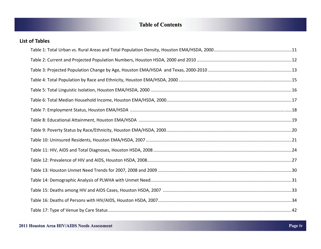# **Table of Contents Table of Contents**

| <b>List of Tables</b> |  |
|-----------------------|--|
|                       |  |
|                       |  |
|                       |  |
|                       |  |
|                       |  |
|                       |  |
|                       |  |
|                       |  |
|                       |  |
|                       |  |
|                       |  |
|                       |  |
|                       |  |
|                       |  |
|                       |  |
|                       |  |
|                       |  |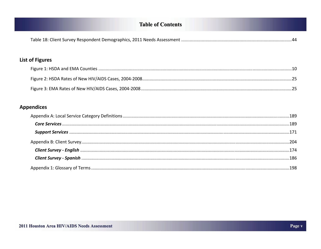# **Table of Contents**

| <b>List of Figures</b> |  |
|------------------------|--|
|                        |  |
|                        |  |
|                        |  |
| <b>Appendices</b>      |  |
|                        |  |
|                        |  |
|                        |  |
|                        |  |
|                        |  |
|                        |  |
|                        |  |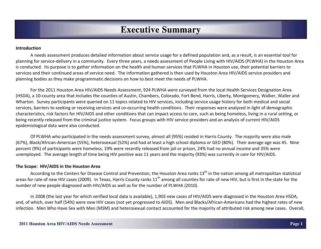#### **Introduction**

A needs assessment produces detailed information about service usage for <sup>a</sup> defined population and, as <sup>a</sup> result, is an essential tool for planning for service‐delivery in <sup>a</sup> community. Every three years, <sup>a</sup> needs assessment of People Living with HIV/AIDS (PLWHA) in the Houston Area is conducted. Its purpose is to gather information on the health and human services that PLWHA in Houston use, their potential barriers to services and their continued areas of service need. The information gathered is then used by Houston Area HIV/AIDS service providers and planning bodies as they make programmatic decisions on how to best meet the needs of PLWHA.

For the 2011 Houston Area HIV/AIDS Needs Assessment, 924 PLWHA were surveyed from the local Health Services Designation Area (HSDA), <sup>a</sup> 10‐county area that includes the counties of Austin, Chambers, Colorado, Fort Bend, Harris, Liberty, Montgomery, Walker, Waller and Wharton. Survey participants were queried on 11 topics related to HIV services, including service usage history for both medical and social services, barriers to seeking or receiving services and co-occurring health conditions. Their responses were analyzed in light of demographic characteristics, risk factors for HIV/AIDS and other conditions that can impact access to care, such as being homeless, living in <sup>a</sup> rural setting, or being recently released from the criminal justice system. Focus groups with HIV service providers and an analysis of current HIV/AIDS epidemiological data were also conducted.

Of PLWHA who participated in the needs assessment survey, almost all (95%) resided in Harris County. The majority were also male (67%), Black/African‐American (55%), heterosexual (52%) and had at least <sup>a</sup> high school diploma or GED (80%). Their average age was 45. Nine percent (9%) of participants were homeless, 19% were recently released from jail or prison, 24% had no annual income and 35% were unemployed. The average length of time being HIV positive was 11 years and the majority (93%) was currently *in care* for HIV/AIDS.

#### **The Scope: HIV/AIDS in the Houston Area**

According to the Centers for Disease Control and Prevention, the Houston Area ranks  $13<sup>th</sup>$  in the nation among all metropolitan statistical areas for rate of new HIV cases (2009). In Texas, Harris County ranks 11<sup>th</sup> among all counties for rate of new HIV, but is first in the state for the *number* of new people diagnosed with HIV/AIDS as well as for the number of PLWHA (2010).

In 2008 (the last year for which verified local data is available), 1,903 new cases of HIV/AIDS were diagnosed in the Houston Area HSDA, and, of which, over half (54%) were new HIV cases (not yet progressed to AIDS). Men and Blacks/African-Americans had the highest rates of new infection. Men Who Have Sex with Men (MSM) and heterosexual contact accounted for the majority of attributed risk among new cases. Overall,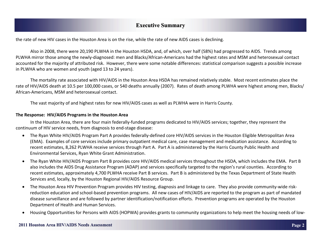the rate of new HIV cases in the Houston Area is on the rise, while the rate of new AIDS cases is declining.

Also in 2008, there were 20,190 PLWHA in the Houston HSDA, and, of which, over half (58%) had progressed to AIDS. Trends among PLWHA mirror those among the newly‐diagnosed: men and Blacks/African‐Americans had the highest rates and MSM and heterosexual contact accounted for the majority of attributed risk. However, there were some notable differences: statistical comparison suggests <sup>a</sup> possible increase in PLWHA who are women and youth (aged 13 to 24 years).

The mortality rate associated with HIV/AIDS in the Houston Area HSDA has remained relatively stable. Most recent estimates place the rate of HIV/AIDS death at 10.5 per 100,000 cases, or 540 deaths annually (2007). Rates of death among PLWHA were highest among men, Blacks/ African‐Americans, MSM and heterosexual contact.

The vast majority of and highest rates for new HIV/AIDS cases as well as PLWHA were in Harris County.

#### **The Response: HIV/AIDS Programs in the Houston Area**

In the Houston Area, there are four main federally‐funded programs dedicated to HIV/AIDS services; together, they represent the continuum of HIV service needs, from diagnosis to end‐stage disease:

- The Ryan White HIV/AIDS Program Part A provides federally‐defined core HIV/AIDS services in the Houston Eligible Metropolitan Area (EMA). Examples of core services include primary outpatient medical care, case management and medication assistance. According to recent estimates, 8,262 PLWHA receive services through Part A. Part A is administered by the Harris County Public Health and Environmental Services, Ryan White Grant Administration.
- The Ryan White HIV/AIDS Program Part B provides core HIV/AIDS medical services throughout the HSDA, which includes the EMA. Part B also includes the AIDS Drug Assistance Program (ADAP) and services specifically targeted to the region's rural counties. According to recent estimates, approximately 4,700 PLWHA receive Part B services. Part B is administered by the Texas Department of State Health Services and, locally, by the Houston Regional HIV/AIDS Resource Group.
- The Houston Area HIV Prevention Program provides HIV testing, diagnosis and linkage to care. They also provide community‐wide risk‐ reduction education and school‐based prevention programs. All new cases of HIV/AIDS are reported to the program as part of mandated disease surveillance and are followed by partner identification/notification efforts. Prevention programs are operated by the Houston Department of Health and Human Services.
- $\bullet$ Housing Opportunities for Persons with AIDS (HOPWA) provides grants to community organizations to help meet the housing needs of low‐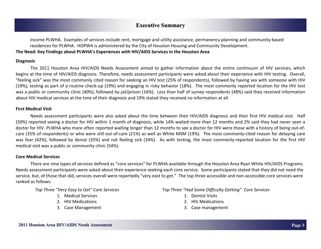income PLWHA. Examples of services include rent, mortgage and utility assistance, permanency planning and community‐based residences for PLWHA. HOPWA is administered by the City of Houston Housing and Community Development. **The Need: Key Findings about PLWHA's Experiences with HIV/AIDS Services in the Houston Area**

#### **Diagnosis**

The 2011 Houston Area HIV/AIDS Needs Assessment aimed to gather information about the entire continuum of HIV services, which begins at the time of HIV/AIDS diagnosis. Therefore, needs assessment participants were asked about their experience with HIV testing. Overall, "feeling sick" was the most commonly cited reason for seeking an HIV test (25% of respondents), followed by having sex with someone with HIV (19%), testing as part of <sup>a</sup> routine check‐up (19%) and engaging in risky behavior (18%). The most commonly reported location for the HIV test was a public or community clinic (40%), followed by jail/prison (16%). Less than half of survey respondents (48%) said they received information about HIV medical services at the time of their diagnosis and 19% stated they received no information at all.

#### **First Medical Visit**

Needs assessment participants were also asked about the time between their HIV/AIDS diagnosis and their first HIV medical visit. Half (50%) reported seeing <sup>a</sup> doctor for HIV within 1 month of diagnosis, while 14% waited more than 12 months and 2% said they had never seen <sup>a</sup> doctor for HIV. PLWHA who more often reported waiting longer than 12 months to see <sup>a</sup> doctor for HIV were those with <sup>a</sup> history of being out‐of‐ care (35% of respondents) or who were still out‐of‐care (21%) as well as White MSM (19%). The most commonly‐cited reason for delaying care was fear (42%), followed by denial (35%) and not feeling sick (34%). As with testing, the most commonly‐reported location for the first HIV medical visit was a public or community clinic (54%).

#### **Core Medical Services**

There are nine types of services defined as "core services" for PLWHA available through the Houston Area Ryan White HIV/AIDS Programs. Needs assessment participants were asked about their experience seeking each core service. Some participants stated that they did not need the service, but, of those that did, services overall were reportedly "very east to get." The top three accessible and non-accessible core services were ranked as follows:

*Top Three "Very Easy to Get" Core Services*

- 1. Medical Services
- 2. HIV Medications
- 3. Case Management

*Top Three "Had Some Difficulty Getting" Core Services*

- 1. Dentist Visits
- 2. HIV Medications
- 3. Case management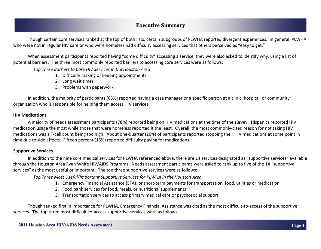Though certain core services ranked at the top of both lists, certain subgroups of PLWHA reported divergent experiences. In general, PLWHA who were not in regular HIV care or who were homeless had difficulty accessing services that others perceived as "easy to get."

When assessment participants reported having "some difficulty" accessing <sup>a</sup> service, they were also asked to identify why, using <sup>a</sup> list of potential barriers. The three most commonly reported barriers to accessing core services were as follows:

*Top Three Barriers to Core HIV Services in the Houston Area*

- 1. Difficulty making or keeping appointments
- 2. Long wait times
- 3. Problems with paperwork

In addition, the majority of participants (63%) reported having <sup>a</sup> case manager or <sup>a</sup> specific person at <sup>a</sup> clinic, hospital, or community organization who is responsible for helping them access HIV services.

#### **HIV Medications**

A majority of needs assessment participants (78%) reported being on HIV medications at the time of the survey. Hispanics reported HIV medication usage the most while those that were homeless reported it the least. Overall, the most commonly‐cited reason for not taking HIV medications was a T‐cell count being too high. About one‐quarter (26%) of participants reported stopping their HIV medications at some point in time due to side effects. Fifteen percent (15%) reported difficulty paying for medications.

#### **Supportive Services**

In addition to the nine core medical services for PLWHA referenced above, there are 14 services designated as "supportive services" available through the Houston Area Ryan White HIV/AIDS Programs. Needs assessment participants were asked to rank up to five of the 14 "supportive services" as the most useful or important. The top three supportive services were as follows:

*Top Three Most Useful/Important Supportive Services for PLWHA in the Houston Area*

- 1. Emergency Financial Assistance (EFA), or short‐term payments for transportation, food, utilities or medication
- 2. Food bank services for food, meals, or nutritional supplements
- 3. Transportation services to access primary medical care or psychosocial support

Though ranked first in importance for PLWHA, Emergency Financial Assistance was cited as the most difficult‐to‐access of the supportive services. The top three most difficult‐to‐access supportive services were as follows: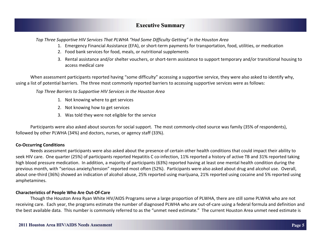*Top Three Supportive HIV Services That PLWHA "Had Some Difficulty Getting" in the Houston Area*

- 1. Emergency Financial Assistance (EFA), or short‐term payments for transportation, food, utilities, or medication
- 2. Food bank services for food, meals, or nutritional supplements
- 3. Rental assistance and/or shelter vouchers, or short‐term assistance to support temporary and/or transitional housing to access medical care

When assessment participants reported having "some difficulty" accessing <sup>a</sup> supportive service, they were also asked to identify why, using <sup>a</sup> list of potential barriers. The three most commonly reported barriers to accessing supportive services were as follows:

*Top Three Barriers to Supportive HIV Services in the Houston Area*

- 1. Not knowing where to get services
- 2. Not knowing how to get services
- 3. Was told they were not eligible for the service

Participants were also asked about sources for social support. The most commonly-cited source was family (35% of respondents), followed by other PLWHA (34%) and doctors, nurses, or agency staff (33%).

#### **Co‐Occurring Conditions**

Needs assessment participants were also asked about the presence of certain other health conditions that could impact their ability to seek HIV care. One quarter (25%) of participants reported Hepatitis C co-infection, 11% reported a history of active TB and 31% reported taking high blood pressure medication. In addition, <sup>a</sup> majority of participants (63%) reported having at least one mental health condition during the previous month, with "serious anxiety/tension" reported most often (52%). Participants were also asked about drug and alcohol use. Overall, about one‐third (36%) showed an indication of alcohol abuse, 25% reported using marijuana, 21% reported using cocaine and 5% reported using amphetamines.

#### **Characteristics of People Who Are Out‐Of‐Care**

Though the Houston Area Ryan White HIV/AIDS Programs serve <sup>a</sup> large proportion of PLWHA, there are still some PLWHA who are not receiving care. Each year, the programs estimate the number of diagnosed PLWHA who are out‐of‐care using <sup>a</sup> federal formula and definition and the best available data. This number is commonly referred to as the "unmet need estimate." The current Houston Area unmet need estimate is